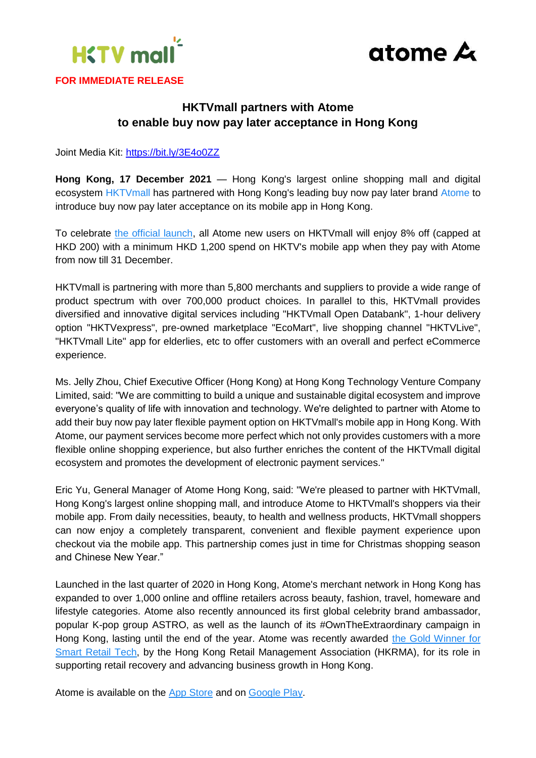



## **HKTVmall partners with Atome to enable buy now pay later acceptance in Hong Kong**

Joint Media Kit:<https://bit.ly/3E4o0ZZ>

**Hong Kong, 17 December 2021** — Hong Kong's largest online shopping mall and digital ecosystem [HKTVmall](https://www.hktvmall.com/) has partnered with Hong Kong's leading buy now pay later brand [Atome](https://www.atome.hk/) to introduce buy now pay later acceptance on its mobile app in Hong Kong.

To celebrate [the official launch,](https://cloud.marketing.hktvmall.com/atome?openinapp=true&autoTriggerAPP=true&backstack=true&fastrender=true) all Atome new users on HKTVmall will enjoy 8% off (capped at HKD 200) with a minimum HKD 1,200 spend on HKTV's mobile app when they pay with Atome from now till 31 December.

HKTVmall is partnering with more than 5,800 merchants and suppliers to provide a wide range of product spectrum with over 700,000 product choices. In parallel to this, HKTVmall provides diversified and innovative digital services including "HKTVmall Open Databank", 1-hour delivery option "HKTVexpress", pre-owned marketplace "EcoMart", live shopping channel "HKTVLive", "HKTVmall Lite" app for elderlies, etc to offer customers with an overall and perfect eCommerce experience.

Ms. Jelly Zhou, Chief Executive Officer (Hong Kong) at Hong Kong Technology Venture Company Limited, said: "We are committing to build a unique and sustainable digital ecosystem and improve everyone's quality of life with innovation and technology. We're delighted to partner with Atome to add their buy now pay later flexible payment option on HKTVmall's mobile app in Hong Kong. With Atome, our payment services become more perfect which not only provides customers with a more flexible online shopping experience, but also further enriches the content of the HKTVmall digital ecosystem and promotes the development of electronic payment services."

Eric Yu, General Manager of Atome Hong Kong, said: "We're pleased to partner with HKTVmall, Hong Kong's largest online shopping mall, and introduce Atome to HKTVmall's shoppers via their mobile app. From daily necessities, beauty, to health and wellness products, HKTVmall shoppers can now enjoy a completely transparent, convenient and flexible payment experience upon checkout via the mobile app. This partnership comes just in time for Christmas shopping season and Chinese New Year."

Launched in the last quarter of 2020 in Hong Kong, Atome's merchant network in Hong Kong has expanded to over 1,000 online and offline retailers across beauty, fashion, travel, homeware and lifestyle categories. Atome also recently announced its first global celebrity brand ambassador, popular K-pop group ASTRO, as well as the launch of its #OwnTheExtraordinary campaign in Hong Kong, lasting until the end of the year. Atome was recently awarded [the Gold Winner for](https://www.hkrma.org/zh-hant/sra-award-winners)  [Smart Retail Tech,](https://www.hkrma.org/zh-hant/sra-award-winners) by the Hong Kong Retail Management Association (HKRMA), for its role in supporting retail recovery and advancing business growth in Hong Kong.

Atome is available on the [App Store](https://apps.apple.com/hk/app/atome-hk-buy-now-pay-later/id1521440083?l=en) and on [Google Play.](https://play.google.com/store/apps/details?id=hk.atome.paylater&hl=en_SG&gl=US)